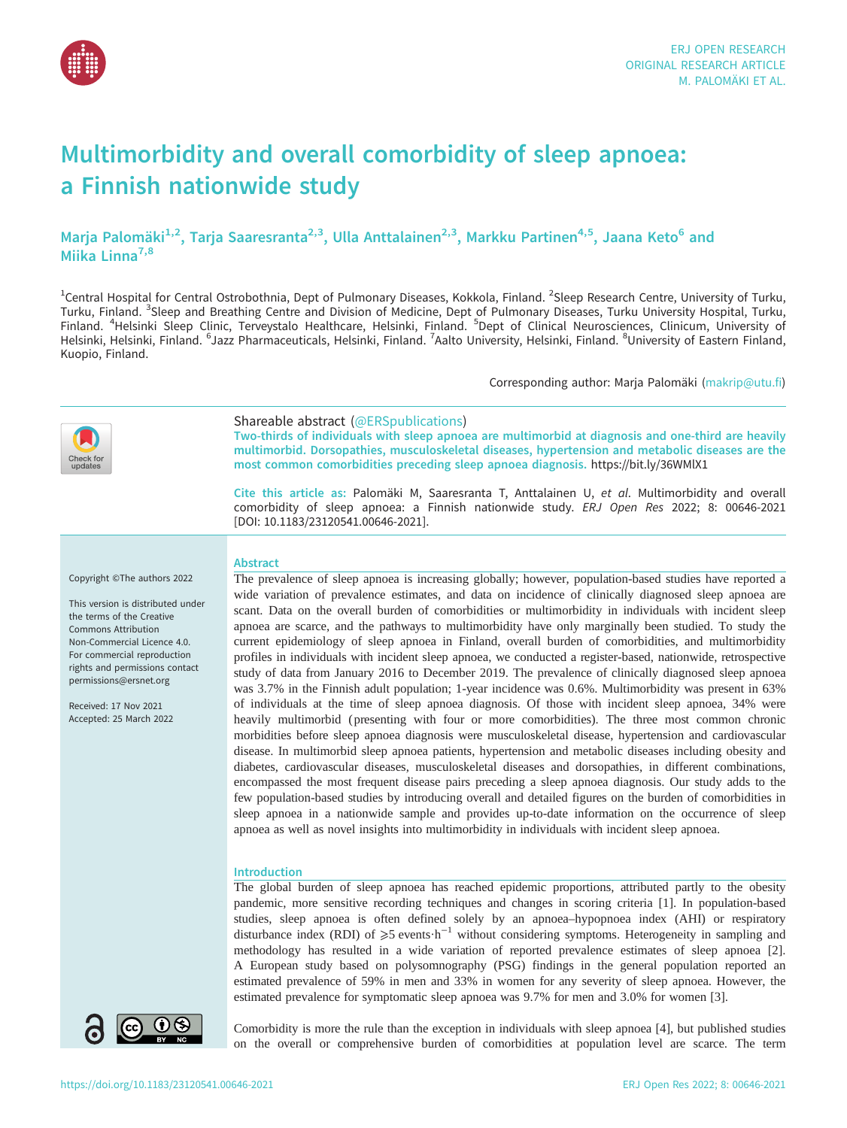

# Multimorbidity and overall comorbidity of sleep apnoea: a Finnish nationwide study

Marja Palomäki<sup>1,2</sup>, Tarja Saaresranta<sup>2,3</sup>, Ulla Anttalainen<sup>2,3</sup>, Markku Partinen<sup>4,5</sup>, Jaana Keto<sup>6</sup> and Miika Linna<sup>7,8</sup>

<sup>1</sup>Central Hospital for Central Ostrobothnia, Dept of Pulmonary Diseases, Kokkola, Finland. <sup>2</sup>Sleep Research Centre, University of Turku, Turku, Finland. <sup>3</sup>Sleep and Breathing Centre and Division of Medicine, Dept of Pulmonary Diseases, Turku University Hospital, Turku, Finland. <sup>4</sup>Helsinki Sleep Clinic, Terveystalo Healthcare, Helsinki, Finland. <sup>5</sup>Dept of Clinical Neurosciences, Clinicum, University of Helsinki, Helsinki, Finland. <sup>6</sup>Jazz Pharmaceuticals, Helsinki, Finland. <sup>7</sup>Aalto University, Helsinki, Finland. <sup>8</sup>University of Eastern Finland, Kuopio, Finland.

Corresponding author: Marja Palomäki [\(makrip@utu.fi](mailto:makrip@utu.fi))



Shareable abstract (@ERSpublications)

Two-thirds of individuals with sleep apnoea are multimorbid at diagnosis and one-third are heavily multimorbid. Dorsopathies, musculoskeletal diseases, hypertension and metabolic diseases are the most common comorbidities preceding sleep apnoea diagnosis. <https://bit.ly/36WMlX1>

Cite this article as: Palomäki M, Saaresranta T, Anttalainen U, et al. Multimorbidity and overall comorbidity of sleep apnoea: a Finnish nationwide study. ERJ Open Res 2022; 8: 00646-2021 [\[DOI: 10.1183/23120541.00646-2021\].](https://doi.org/10.1183/23120541.00646-2021)

## Copyright ©The authors 2022

This version is distributed under the terms of the Creative Commons Attribution Non-Commercial Licence 4.0. For commercial reproduction rights and permissions contact [permissions@ersnet.org](mailto:permissions@ersnet.org)

Received: 17 Nov 2021 Accepted: 25 March 2022

## **Abstract**

The prevalence of sleep apnoea is increasing globally; however, population-based studies have reported a wide variation of prevalence estimates, and data on incidence of clinically diagnosed sleep apnoea are scant. Data on the overall burden of comorbidities or multimorbidity in individuals with incident sleep apnoea are scarce, and the pathways to multimorbidity have only marginally been studied. To study the current epidemiology of sleep apnoea in Finland, overall burden of comorbidities, and multimorbidity profiles in individuals with incident sleep apnoea, we conducted a register-based, nationwide, retrospective study of data from January 2016 to December 2019. The prevalence of clinically diagnosed sleep apnoea was 3.7% in the Finnish adult population; 1-year incidence was 0.6%. Multimorbidity was present in 63% of individuals at the time of sleep apnoea diagnosis. Of those with incident sleep apnoea, 34% were heavily multimorbid ( presenting with four or more comorbidities). The three most common chronic morbidities before sleep apnoea diagnosis were musculoskeletal disease, hypertension and cardiovascular disease. In multimorbid sleep apnoea patients, hypertension and metabolic diseases including obesity and diabetes, cardiovascular diseases, musculoskeletal diseases and dorsopathies, in different combinations, encompassed the most frequent disease pairs preceding a sleep apnoea diagnosis. Our study adds to the few population-based studies by introducing overall and detailed figures on the burden of comorbidities in sleep apnoea in a nationwide sample and provides up-to-date information on the occurrence of sleep apnoea as well as novel insights into multimorbidity in individuals with incident sleep apnoea.

# Introduction

The global burden of sleep apnoea has reached epidemic proportions, attributed partly to the obesity pandemic, more sensitive recording techniques and changes in scoring criteria [\[1\]](#page-9-0). In population-based studies, sleep apnoea is often defined solely by an apnoea–hypopnoea index (AHI) or respiratory disturbance index (RDI) of  $\geq 5$  events·h<sup>-1</sup> without considering symptoms. Heterogeneity in sampling and methodology has resulted in a wide variation of reported prevalence estimates of sleep apnoea [\[2\]](#page-9-0). A European study based on polysomnography (PSG) findings in the general population reported an estimated prevalence of 59% in men and 33% in women for any severity of sleep apnoea. However, the estimated prevalence for symptomatic sleep apnoea was 9.7% for men and 3.0% for women [[3](#page-9-0)].



Comorbidity is more the rule than the exception in individuals with sleep apnoea [\[4\]](#page-9-0), but published studies on the overall or comprehensive burden of comorbidities at population level are scarce. The term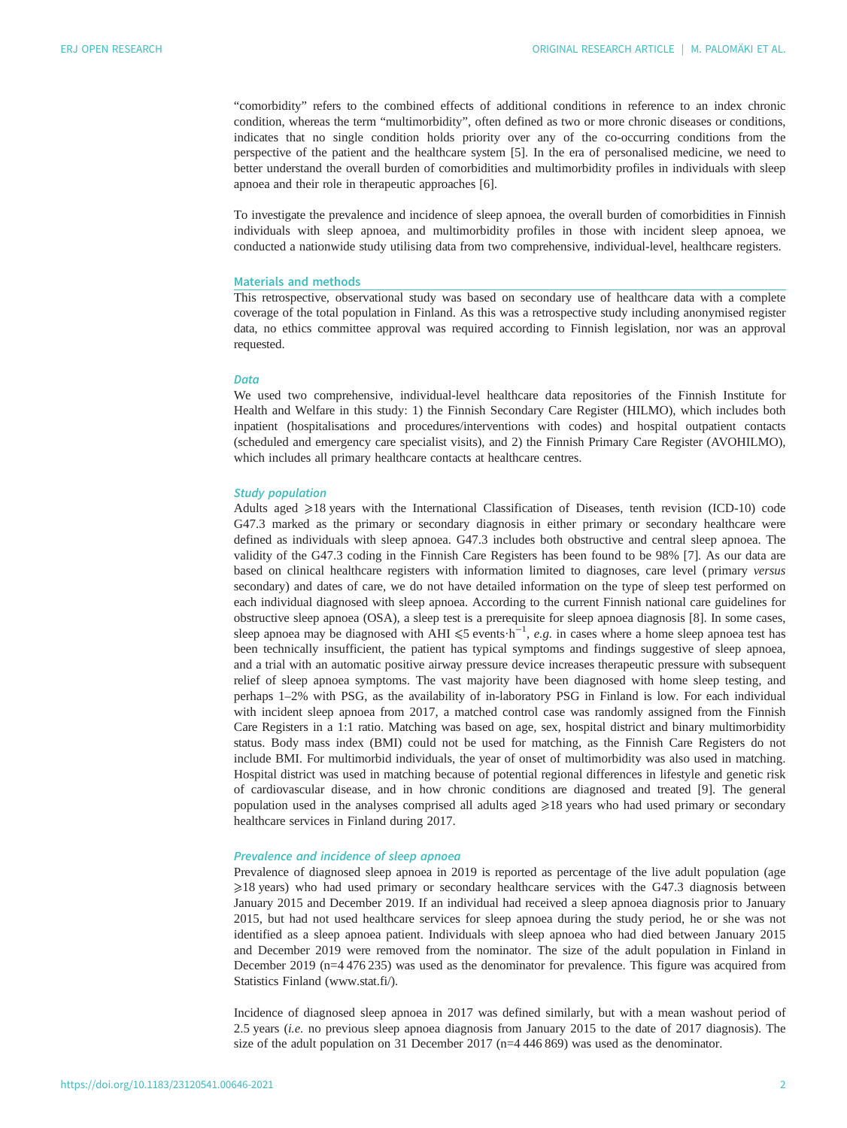"comorbidity" refers to the combined effects of additional conditions in reference to an index chronic condition, whereas the term "multimorbidity", often defined as two or more chronic diseases or conditions, indicates that no single condition holds priority over any of the co-occurring conditions from the perspective of the patient and the healthcare system [\[5\]](#page-9-0). In the era of personalised medicine, we need to better understand the overall burden of comorbidities and multimorbidity profiles in individuals with sleep apnoea and their role in therapeutic approaches [\[6\]](#page-9-0).

To investigate the prevalence and incidence of sleep apnoea, the overall burden of comorbidities in Finnish individuals with sleep apnoea, and multimorbidity profiles in those with incident sleep apnoea, we conducted a nationwide study utilising data from two comprehensive, individual-level, healthcare registers.

# Materials and methods

This retrospective, observational study was based on secondary use of healthcare data with a complete coverage of the total population in Finland. As this was a retrospective study including anonymised register data, no ethics committee approval was required according to Finnish legislation, nor was an approval requested.

## **Data**

We used two comprehensive, individual-level healthcare data repositories of the Finnish Institute for Health and Welfare in this study: 1) the Finnish Secondary Care Register (HILMO), which includes both inpatient (hospitalisations and procedures/interventions with codes) and hospital outpatient contacts (scheduled and emergency care specialist visits), and 2) the Finnish Primary Care Register (AVOHILMO), which includes all primary healthcare contacts at healthcare centres.

## Study population

Adults aged  $\geq 18$  years with the International Classification of Diseases, tenth revision (ICD-10) code G47.3 marked as the primary or secondary diagnosis in either primary or secondary healthcare were defined as individuals with sleep apnoea. G47.3 includes both obstructive and central sleep apnoea. The validity of the G47.3 coding in the Finnish Care Registers has been found to be 98% [[7](#page-9-0)]. As our data are based on clinical healthcare registers with information limited to diagnoses, care level ( primary versus secondary) and dates of care, we do not have detailed information on the type of sleep test performed on each individual diagnosed with sleep apnoea. According to the current Finnish national care guidelines for obstructive sleep apnoea (OSA), a sleep test is a prerequisite for sleep apnoea diagnosis [[8](#page-9-0)]. In some cases, sleep apnoea may be diagnosed with AHI  $\leq 5$  events $\cdot h^{-1}$ , e.g. in cases where a home sleep apnoea test has been technically insufficient, the patient has typical symptoms and findings suggestive of sleep apnoea, and a trial with an automatic positive airway pressure device increases therapeutic pressure with subsequent relief of sleep apnoea symptoms. The vast majority have been diagnosed with home sleep testing, and perhaps 1–2% with PSG, as the availability of in-laboratory PSG in Finland is low. For each individual with incident sleep apnoea from 2017, a matched control case was randomly assigned from the Finnish Care Registers in a 1:1 ratio. Matching was based on age, sex, hospital district and binary multimorbidity status. Body mass index (BMI) could not be used for matching, as the Finnish Care Registers do not include BMI. For multimorbid individuals, the year of onset of multimorbidity was also used in matching. Hospital district was used in matching because of potential regional differences in lifestyle and genetic risk of cardiovascular disease, and in how chronic conditions are diagnosed and treated [[9](#page-9-0)]. The general population used in the analyses comprised all adults aged  $\geq$ 18 years who had used primary or secondary healthcare services in Finland during 2017.

# Prevalence and incidence of sleep apnoea

Prevalence of diagnosed sleep apnoea in 2019 is reported as percentage of the live adult population (age ⩾18 years) who had used primary or secondary healthcare services with the G47.3 diagnosis between January 2015 and December 2019. If an individual had received a sleep apnoea diagnosis prior to January 2015, but had not used healthcare services for sleep apnoea during the study period, he or she was not identified as a sleep apnoea patient. Individuals with sleep apnoea who had died between January 2015 and December 2019 were removed from the nominator. The size of the adult population in Finland in December 2019 (n=4 476 235) was used as the denominator for prevalence. This figure was acquired from Statistics Finland ([www.stat.fi/\)](http://www.stat.fi/).

Incidence of diagnosed sleep apnoea in 2017 was defined similarly, but with a mean washout period of 2.5 years (i.e. no previous sleep apnoea diagnosis from January 2015 to the date of 2017 diagnosis). The size of the adult population on 31 December 2017 ( $n=4,446,869$ ) was used as the denominator.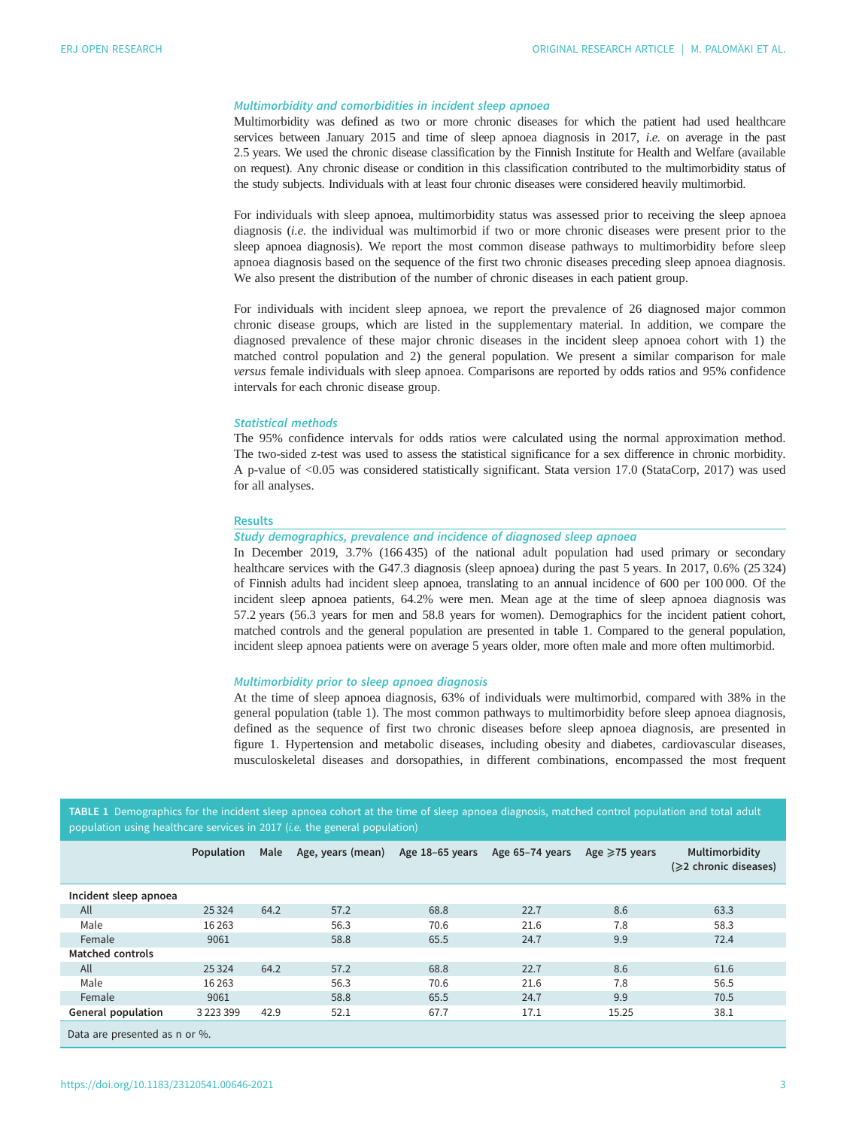# Multimorbidity and comorbidities in incident sleep apnoea

Multimorbidity was defined as two or more chronic diseases for which the patient had used healthcare services between January 2015 and time of sleep apnoea diagnosis in 2017, i.e. on average in the past 2.5 years. We used the chronic disease classification by the Finnish Institute for Health and Welfare (available on request). Any chronic disease or condition in this classification contributed to the multimorbidity status of the study subjects. Individuals with at least four chronic diseases were considered heavily multimorbid.

For individuals with sleep apnoea, multimorbidity status was assessed prior to receiving the sleep apnoea diagnosis (i.e. the individual was multimorbid if two or more chronic diseases were present prior to the sleep apnoea diagnosis). We report the most common disease pathways to multimorbidity before sleep apnoea diagnosis based on the sequence of the first two chronic diseases preceding sleep apnoea diagnosis. We also present the distribution of the number of chronic diseases in each patient group.

For individuals with incident sleep apnoea, we report the prevalence of 26 diagnosed major common chronic disease groups, which are listed in the [supplementary material](http://openres.ersjournals.com/lookup/doi/10.1183/23120541.00646-2021.figures-only#fig-data-supplementary-materials). In addition, we compare the diagnosed prevalence of these major chronic diseases in the incident sleep apnoea cohort with 1) the matched control population and 2) the general population. We present a similar comparison for male versus female individuals with sleep apnoea. Comparisons are reported by odds ratios and 95% confidence intervals for each chronic disease group.

## Statistical methods

The 95% confidence intervals for odds ratios were calculated using the normal approximation method. The two-sided z-test was used to assess the statistical significance for a sex difference in chronic morbidity. A p-value of <0.05 was considered statistically significant. Stata version 17.0 (StataCorp, 2017) was used for all analyses.

## Results

## Study demographics, prevalence and incidence of diagnosed sleep apnoea

In December 2019, 3.7% (166 435) of the national adult population had used primary or secondary healthcare services with the G47.3 diagnosis (sleep apnoea) during the past 5 years. In 2017, 0.6% (25 324) of Finnish adults had incident sleep apnoea, translating to an annual incidence of 600 per 100 000. Of the incident sleep apnoea patients, 64.2% were men. Mean age at the time of sleep apnoea diagnosis was 57.2 years (56.3 years for men and 58.8 years for women). Demographics for the incident patient cohort, matched controls and the general population are presented in table 1. Compared to the general population, incident sleep apnoea patients were on average 5 years older, more often male and more often multimorbid.

# Multimorbidity prior to sleep apnoea diagnosis

At the time of sleep apnoea diagnosis, 63% of individuals were multimorbid, compared with 38% in the general population (table 1). The most common pathways to multimorbidity before sleep apnoea diagnosis, defined as the sequence of first two chronic diseases before sleep apnoea diagnosis, are presented in [figure 1](#page-3-0). Hypertension and metabolic diseases, including obesity and diabetes, cardiovascular diseases, musculoskeletal diseases and dorsopathies, in different combinations, encompassed the most frequent

| TABLE 1 Demographics for the incident sleep apnoea cohort at the time of sleep apnoea diagnosis, matched control population and total adult |  |
|---------------------------------------------------------------------------------------------------------------------------------------------|--|
| population using healthcare services in 2017 ( <i>i.e.</i> the general population)                                                          |  |

|                               | Population    | Male | Age, years (mean) | Age 18-65 years | Age 65-74 years | Age $\geq$ 75 years | Multimorbidity<br>(≥2 chronic diseases) |
|-------------------------------|---------------|------|-------------------|-----------------|-----------------|---------------------|-----------------------------------------|
| Incident sleep apnoea         |               |      |                   |                 |                 |                     |                                         |
| All                           | 25 3 24       | 64.2 | 57.2              | 68.8            | 22.7            | 8.6                 | 63.3                                    |
| Male                          | 16 2 63       |      | 56.3              | 70.6            | 21.6            | 7.8                 | 58.3                                    |
| Female                        | 9061          |      | 58.8              | 65.5            | 24.7            | 9.9                 | 72.4                                    |
| Matched controls              |               |      |                   |                 |                 |                     |                                         |
| All                           | 25 3 24       | 64.2 | 57.2              | 68.8            | 22.7            | 8.6                 | 61.6                                    |
| Male                          | 16 2 63       |      | 56.3              | 70.6            | 21.6            | 7.8                 | 56.5                                    |
| Female                        | 9061          |      | 58.8              | 65.5            | 24.7            | 9.9                 | 70.5                                    |
| General population            | 3 2 2 3 3 9 9 | 42.9 | 52.1              | 67.7            | 17.1            | 15.25               | 38.1                                    |
| Data are presented as n or %. |               |      |                   |                 |                 |                     |                                         |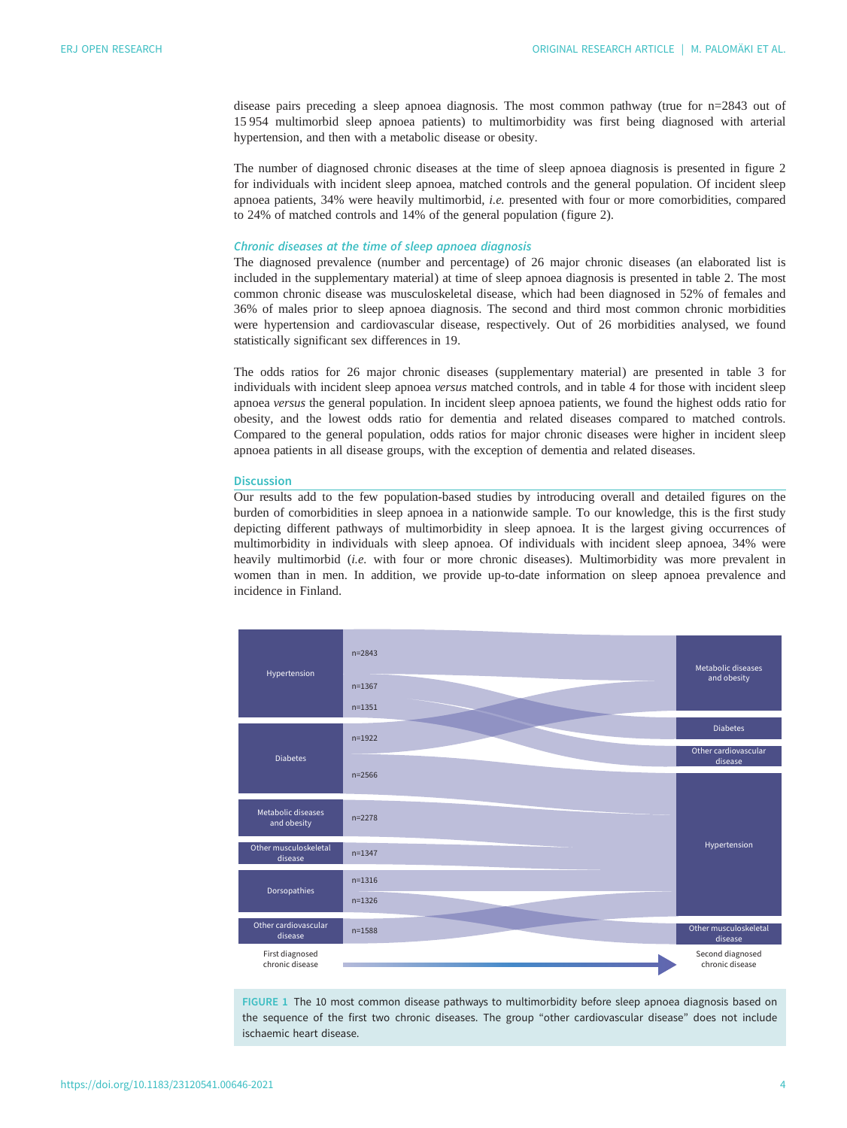<span id="page-3-0"></span>disease pairs preceding a sleep apnoea diagnosis. The most common pathway (true for n=2843 out of 15 954 multimorbid sleep apnoea patients) to multimorbidity was first being diagnosed with arterial hypertension, and then with a metabolic disease or obesity.

The number of diagnosed chronic diseases at the time of sleep apnoea diagnosis is presented in [figure 2](#page-4-0) for individuals with incident sleep apnoea, matched controls and the general population. Of incident sleep apnoea patients, 34% were heavily multimorbid, i.e. presented with four or more comorbidities, compared to 24% of matched controls and 14% of the general population ([figure 2\)](#page-4-0).

# Chronic diseases at the time of sleep apnoea diagnosis

The diagnosed prevalence (number and percentage) of 26 major chronic diseases (an elaborated list is included in the [supplementary material](http://openres.ersjournals.com/lookup/doi/10.1183/23120541.00646-2021.figures-only#fig-data-supplementary-materials)) at time of sleep apnoea diagnosis is presented in [table 2](#page-5-0). The most common chronic disease was musculoskeletal disease, which had been diagnosed in 52% of females and 36% of males prior to sleep apnoea diagnosis. The second and third most common chronic morbidities were hypertension and cardiovascular disease, respectively. Out of 26 morbidities analysed, we found statistically significant sex differences in 19.

The odds ratios for 26 major chronic diseases [\(supplementary material](http://openres.ersjournals.com/lookup/doi/10.1183/23120541.00646-2021.figures-only#fig-data-supplementary-materials)) are presented in [table 3](#page-6-0) for individuals with incident sleep apnoea versus matched controls, and in [table 4](#page-7-0) for those with incident sleep apnoea versus the general population. In incident sleep apnoea patients, we found the highest odds ratio for obesity, and the lowest odds ratio for dementia and related diseases compared to matched controls. Compared to the general population, odds ratios for major chronic diseases were higher in incident sleep apnoea patients in all disease groups, with the exception of dementia and related diseases.

## **Discussion**

Our results add to the few population-based studies by introducing overall and detailed figures on the burden of comorbidities in sleep apnoea in a nationwide sample. To our knowledge, this is the first study depicting different pathways of multimorbidity in sleep apnoea. It is the largest giving occurrences of multimorbidity in individuals with sleep apnoea. Of individuals with incident sleep apnoea, 34% were heavily multimorbid (i.e. with four or more chronic diseases). Multimorbidity was more prevalent in women than in men. In addition, we provide up-to-date information on sleep apnoea prevalence and incidence in Finland.



FIGURE 1 The 10 most common disease pathways to multimorbidity before sleep apnoea diagnosis based on the sequence of the first two chronic diseases. The group "other cardiovascular disease" does not include ischaemic heart disease.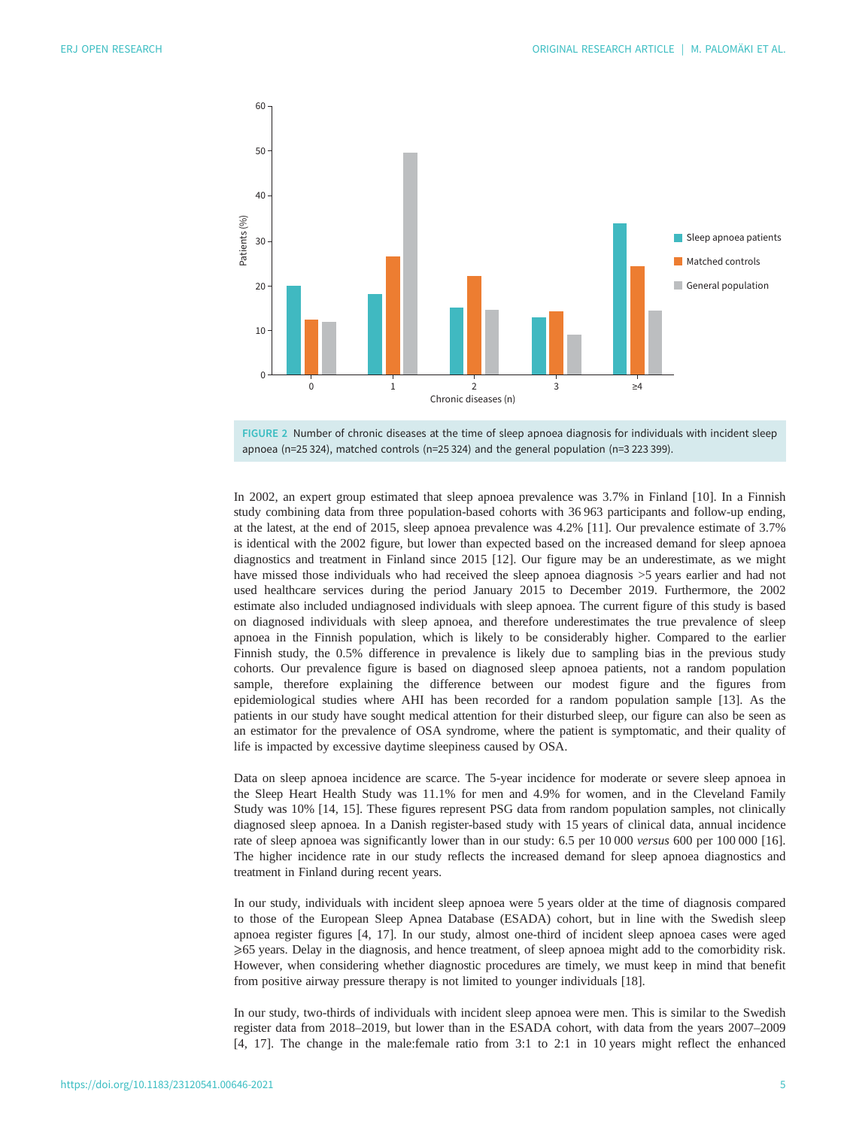<span id="page-4-0"></span>



In 2002, an expert group estimated that sleep apnoea prevalence was 3.7% in Finland [\[10](#page-9-0)]. In a Finnish study combining data from three population-based cohorts with 36 963 participants and follow-up ending, at the latest, at the end of 2015, sleep apnoea prevalence was 4.2% [\[11](#page-9-0)]. Our prevalence estimate of 3.7% is identical with the 2002 figure, but lower than expected based on the increased demand for sleep apnoea diagnostics and treatment in Finland since 2015 [\[12](#page-10-0)]. Our figure may be an underestimate, as we might have missed those individuals who had received the sleep apnoea diagnosis >5 years earlier and had not used healthcare services during the period January 2015 to December 2019. Furthermore, the 2002 estimate also included undiagnosed individuals with sleep apnoea. The current figure of this study is based on diagnosed individuals with sleep apnoea, and therefore underestimates the true prevalence of sleep apnoea in the Finnish population, which is likely to be considerably higher. Compared to the earlier Finnish study, the 0.5% difference in prevalence is likely due to sampling bias in the previous study cohorts. Our prevalence figure is based on diagnosed sleep apnoea patients, not a random population sample, therefore explaining the difference between our modest figure and the figures from epidemiological studies where AHI has been recorded for a random population sample [\[13](#page-10-0)]. As the patients in our study have sought medical attention for their disturbed sleep, our figure can also be seen as an estimator for the prevalence of OSA syndrome, where the patient is symptomatic, and their quality of life is impacted by excessive daytime sleepiness caused by OSA.

Data on sleep apnoea incidence are scarce. The 5-year incidence for moderate or severe sleep apnoea in the Sleep Heart Health Study was 11.1% for men and 4.9% for women, and in the Cleveland Family Study was 10% [[14, 15](#page-10-0)]. These figures represent PSG data from random population samples, not clinically diagnosed sleep apnoea. In a Danish register-based study with 15 years of clinical data, annual incidence rate of sleep apnoea was significantly lower than in our study: 6.5 per 10 000 versus 600 per 100 000 [[16\]](#page-10-0). The higher incidence rate in our study reflects the increased demand for sleep apnoea diagnostics and treatment in Finland during recent years.

In our study, individuals with incident sleep apnoea were 5 years older at the time of diagnosis compared to those of the European Sleep Apnea Database (ESADA) cohort, but in line with the Swedish sleep apnoea register figures [[4](#page-9-0), [17](#page-10-0)]. In our study, almost one-third of incident sleep apnoea cases were aged ⩾65 years. Delay in the diagnosis, and hence treatment, of sleep apnoea might add to the comorbidity risk. However, when considering whether diagnostic procedures are timely, we must keep in mind that benefit from positive airway pressure therapy is not limited to younger individuals [[18\]](#page-10-0).

In our study, two-thirds of individuals with incident sleep apnoea were men. This is similar to the Swedish register data from 2018–2019, but lower than in the ESADA cohort, with data from the years 2007–2009 [\[4,](#page-9-0) [17\]](#page-10-0). The change in the male:female ratio from 3:1 to 2:1 in 10 years might reflect the enhanced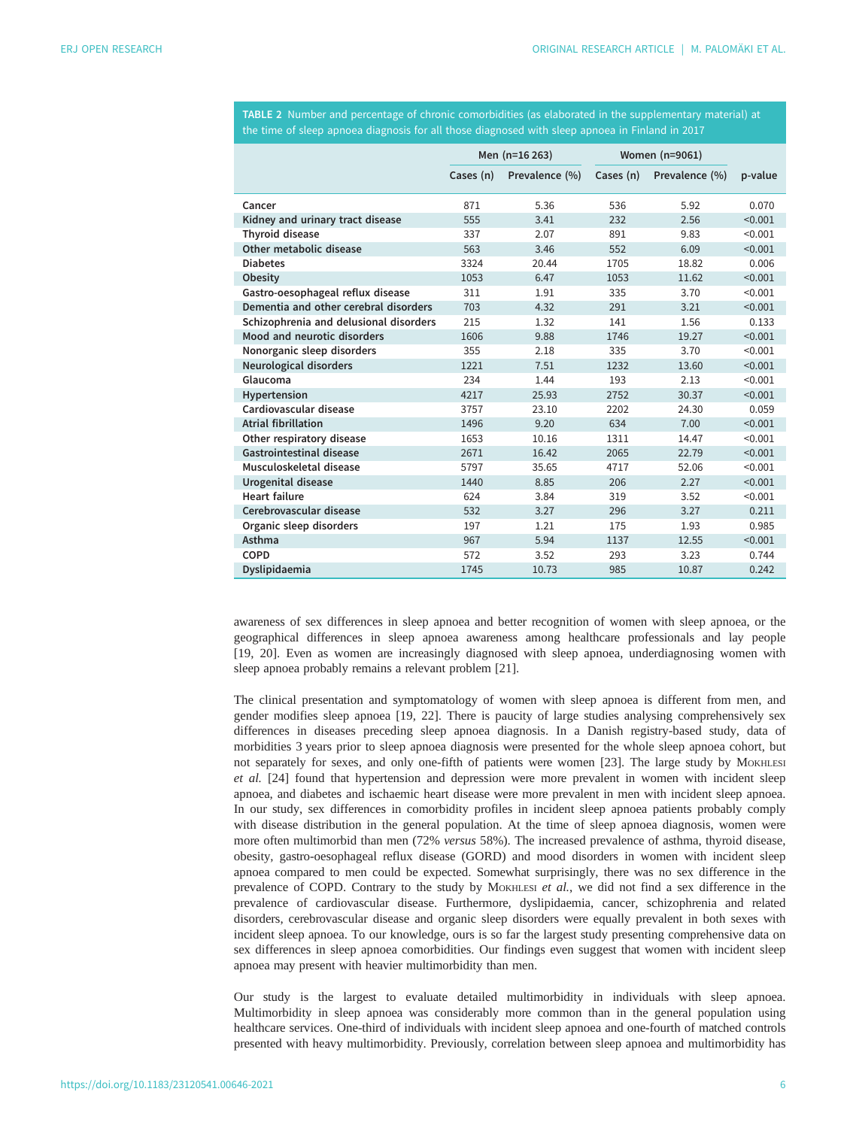<span id="page-5-0"></span>TABLE 2 Number and percentage of chronic comorbidities (as elaborated in the [supplementary material](http://openres.ersjournals.com/lookup/doi/10.1183/23120541.00646-2021.figures-only#fig-data-supplementary-materials)) at the time of sleep apnoea diagnosis for all those diagnosed with sleep apnoea in Finland in 2017

|                                        | Men (n=16 263) |                | Women (n=9061) |                |         |
|----------------------------------------|----------------|----------------|----------------|----------------|---------|
|                                        | Cases (n)      | Prevalence (%) | Cases (n)      | Prevalence (%) | p-value |
| Cancer                                 | 871            | 5.36           | 536            | 5.92           | 0.070   |
| Kidney and urinary tract disease       | 555            | 3.41           | 232            | 2.56           | < 0.001 |
| <b>Thyroid disease</b>                 | 337            | 2.07           | 891            | 9.83           | < 0.001 |
| Other metabolic disease                | 563            | 3.46           | 552            | 6.09           | < 0.001 |
| <b>Diabetes</b>                        | 3324           | 20.44          | 1705           | 18.82          | 0.006   |
| Obesity                                | 1053           | 6.47           | 1053           | 11.62          | < 0.001 |
| Gastro-oesophageal reflux disease      | 311            | 1.91           | 335            | 3.70           | < 0.001 |
| Dementia and other cerebral disorders  | 703            | 4.32           | 291            | 3.21           | < 0.001 |
| Schizophrenia and delusional disorders | 215            | 1.32           | 141            | 1.56           | 0.133   |
| Mood and neurotic disorders            | 1606           | 9.88           | 1746           | 19.27          | < 0.001 |
| Nonorganic sleep disorders             | 355            | 2.18           | 335            | 3.70           | < 0.001 |
| Neurological disorders                 | 1221           | 7.51           | 1232           | 13.60          | < 0.001 |
| Glaucoma                               | 234            | 1.44           | 193            | 2.13           | < 0.001 |
| Hypertension                           | 4217           | 25.93          | 2752           | 30.37          | < 0.001 |
| Cardiovascular disease                 | 3757           | 23.10          | 2202           | 24.30          | 0.059   |
| <b>Atrial fibrillation</b>             | 1496           | 9.20           | 634            | 7.00           | < 0.001 |
| Other respiratory disease              | 1653           | 10.16          | 1311           | 14.47          | < 0.001 |
| Gastrointestinal disease               | 2671           | 16.42          | 2065           | 22.79          | < 0.001 |
| Musculoskeletal disease                | 5797           | 35.65          | 4717           | 52.06          | < 0.001 |
| Urogenital disease                     | 1440           | 8.85           | 206            | 2.27           | < 0.001 |
| <b>Heart failure</b>                   | 624            | 3.84           | 319            | 3.52           | < 0.001 |
| Cerebrovascular disease                | 532            | 3.27           | 296            | 3.27           | 0.211   |
| Organic sleep disorders                | 197            | 1.21           | 175            | 1.93           | 0.985   |
| Asthma                                 | 967            | 5.94           | 1137           | 12.55          | < 0.001 |
| COPD                                   | 572            | 3.52           | 293            | 3.23           | 0.744   |
| Dyslipidaemia                          | 1745           | 10.73          | 985            | 10.87          | 0.242   |

awareness of sex differences in sleep apnoea and better recognition of women with sleep apnoea, or the geographical differences in sleep apnoea awareness among healthcare professionals and lay people [\[19](#page-10-0), [20\]](#page-10-0). Even as women are increasingly diagnosed with sleep apnoea, underdiagnosing women with sleep apnoea probably remains a relevant problem [\[21](#page-10-0)].

The clinical presentation and symptomatology of women with sleep apnoea is different from men, and gender modifies sleep apnoea [\[19](#page-10-0), [22](#page-10-0)]. There is paucity of large studies analysing comprehensively sex differences in diseases preceding sleep apnoea diagnosis. In a Danish registry-based study, data of morbidities 3 years prior to sleep apnoea diagnosis were presented for the whole sleep apnoea cohort, but not separately for sexes, and only one-fifth of patients were women [\[23](#page-10-0)]. The large study by MOKHLESI et al. [\[24](#page-10-0)] found that hypertension and depression were more prevalent in women with incident sleep apnoea, and diabetes and ischaemic heart disease were more prevalent in men with incident sleep apnoea. In our study, sex differences in comorbidity profiles in incident sleep apnoea patients probably comply with disease distribution in the general population. At the time of sleep apnoea diagnosis, women were more often multimorbid than men (72% versus 58%). The increased prevalence of asthma, thyroid disease, obesity, gastro-oesophageal reflux disease (GORD) and mood disorders in women with incident sleep apnoea compared to men could be expected. Somewhat surprisingly, there was no sex difference in the prevalence of COPD. Contrary to the study by MOKHLESI et al., we did not find a sex difference in the prevalence of cardiovascular disease. Furthermore, dyslipidaemia, cancer, schizophrenia and related disorders, cerebrovascular disease and organic sleep disorders were equally prevalent in both sexes with incident sleep apnoea. To our knowledge, ours is so far the largest study presenting comprehensive data on sex differences in sleep apnoea comorbidities. Our findings even suggest that women with incident sleep apnoea may present with heavier multimorbidity than men.

Our study is the largest to evaluate detailed multimorbidity in individuals with sleep apnoea. Multimorbidity in sleep apnoea was considerably more common than in the general population using healthcare services. One-third of individuals with incident sleep apnoea and one-fourth of matched controls presented with heavy multimorbidity. Previously, correlation between sleep apnoea and multimorbidity has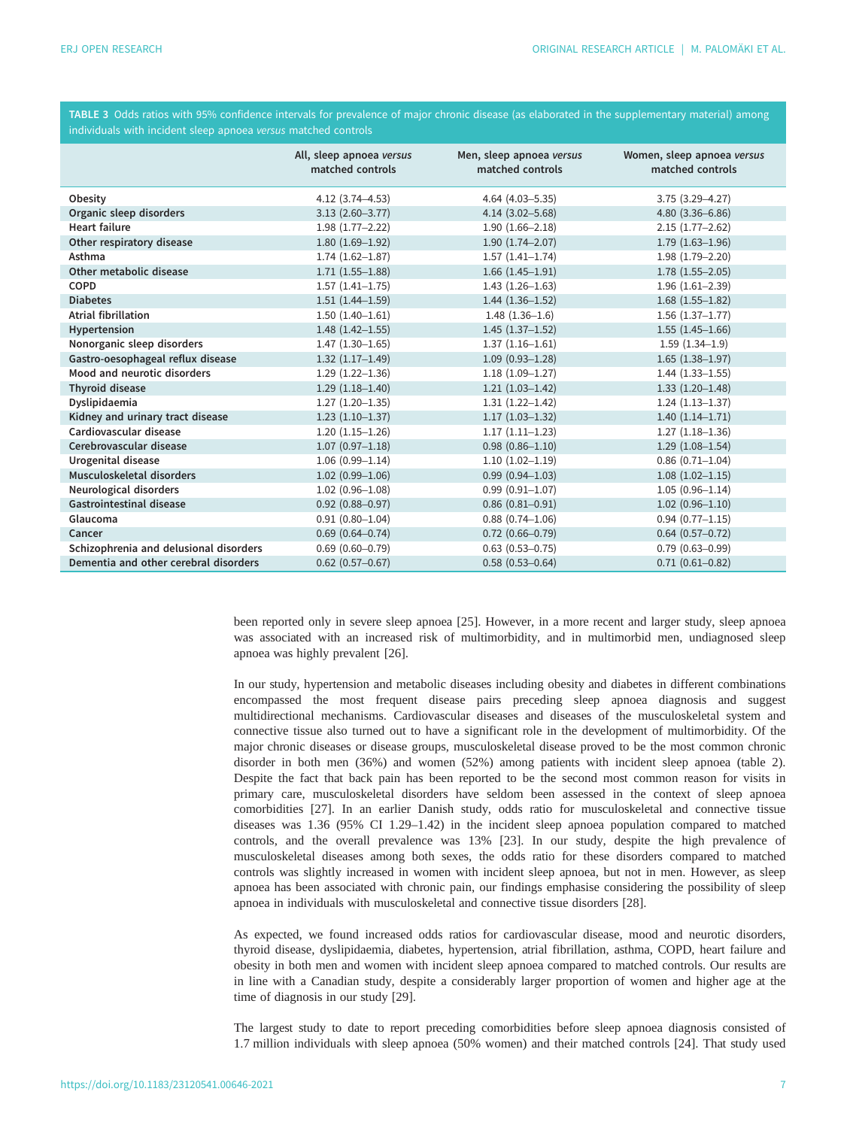<span id="page-6-0"></span>

|  | TABLE 3 Odds ratios with 95% confidence intervals for prevalence of major chronic disease (as elaborated in the supplementary material) among |  |  |  |
|--|-----------------------------------------------------------------------------------------------------------------------------------------------|--|--|--|
|  | individuals with incident sleep apnoea versus matched controls                                                                                |  |  |  |

|                                        | All, sleep apnoea versus<br>matched controls | Men, sleep apnoea versus<br>matched controls | Women, sleep apnoea versus<br>matched controls |
|----------------------------------------|----------------------------------------------|----------------------------------------------|------------------------------------------------|
| Obesity                                | $4.12(3.74 - 4.53)$                          | $4.64(4.03 - 5.35)$                          | $3.75(3.29 - 4.27)$                            |
| Organic sleep disorders                | $3.13(2.60 - 3.77)$                          | $4.14(3.02 - 5.68)$                          | $4.80(3.36 - 6.86)$                            |
| <b>Heart failure</b>                   | $1.98(1.77-2.22)$                            | $1.90(1.66 - 2.18)$                          | $2.15(1.77-2.62)$                              |
| Other respiratory disease              | $1.80(1.69-1.92)$                            | $1.90(1.74 - 2.07)$                          | $1.79(1.63 - 1.96)$                            |
| Asthma                                 | $1.74(1.62 - 1.87)$                          | $1.57(1.41 - 1.74)$                          | $1.98(1.79 - 2.20)$                            |
| Other metabolic disease                | $1.71(1.55 - 1.88)$                          | $1.66(1.45-1.91)$                            | $1.78(1.55 - 2.05)$                            |
| COPD                                   | $1.57(1.41 - 1.75)$                          | $1.43(1.26 - 1.63)$                          | $1.96(1.61 - 2.39)$                            |
| <b>Diabetes</b>                        | $1.51(1.44 - 1.59)$                          | $1.44(1.36-1.52)$                            | $1.68(1.55 - 1.82)$                            |
| Atrial fibrillation                    | $1.50(1.40-1.61)$                            | $1.48(1.36-1.6)$                             | $1.56(1.37-1.77)$                              |
| Hypertension                           | $1.48(1.42 - 1.55)$                          | $1.45(1.37-1.52)$                            | $1.55(1.45-1.66)$                              |
| Nonorganic sleep disorders             | $1.47(1.30-1.65)$                            | $1.37(1.16 - 1.61)$                          | $1.59(1.34-1.9)$                               |
| Gastro-oesophageal reflux disease      | $1.32(1.17-1.49)$                            | $1.09(0.93 - 1.28)$                          | $1.65(1.38 - 1.97)$                            |
| Mood and neurotic disorders            | $1.29(1.22 - 1.36)$                          | $1.18(1.09-1.27)$                            | $1.44(1.33 - 1.55)$                            |
| <b>Thyroid disease</b>                 | $1.29(1.18 - 1.40)$                          | $1.21(1.03-1.42)$                            | $1.33(1.20-1.48)$                              |
| Dyslipidaemia                          | $1.27(1.20-1.35)$                            | $1.31(1.22 - 1.42)$                          | $1.24(1.13-1.37)$                              |
| Kidney and urinary tract disease       | $1.23(1.10-1.37)$                            | $1.17(1.03 - 1.32)$                          | $1.40(1.14 - 1.71)$                            |
| Cardiovascular disease                 | $1.20(1.15-1.26)$                            | $1.17(1.11 - 1.23)$                          | $1.27(1.18 - 1.36)$                            |
| Cerebrovascular disease                | $1.07(0.97 - 1.18)$                          | $0.98(0.86 - 1.10)$                          | $1.29(1.08-1.54)$                              |
| Urogenital disease                     | $1.06(0.99 - 1.14)$                          | $1.10(1.02 - 1.19)$                          | $0.86(0.71 - 1.04)$                            |
| Musculoskeletal disorders              | $1.02(0.99 - 1.06)$                          | $0.99$ $(0.94 - 1.03)$                       | $1.08(1.02 - 1.15)$                            |
| Neurological disorders                 | $1.02(0.96 - 1.08)$                          | $0.99(0.91 - 1.07)$                          | $1.05(0.96 - 1.14)$                            |
| Gastrointestinal disease               | $0.92$ $(0.88 - 0.97)$                       | $0.86$ $(0.81 - 0.91)$                       | $1.02(0.96 - 1.10)$                            |
| Glaucoma                               | $0.91(0.80 - 1.04)$                          | $0.88$ $(0.74 - 1.06)$                       | $0.94(0.77 - 1.15)$                            |
| Cancer                                 | $0.69(0.64 - 0.74)$                          | $0.72$ $(0.66 - 0.79)$                       | $0.64$ $(0.57 - 0.72)$                         |
| Schizophrenia and delusional disorders | $0.69(0.60 - 0.79)$                          | $0.63$ $(0.53 - 0.75)$                       | $0.79(0.63 - 0.99)$                            |
| Dementia and other cerebral disorders  | $0.62$ (0.57-0.67)                           | $0.58(0.53 - 0.64)$                          | $0.71(0.61 - 0.82)$                            |

been reported only in severe sleep apnoea [\[25](#page-10-0)]. However, in a more recent and larger study, sleep apnoea was associated with an increased risk of multimorbidity, and in multimorbid men, undiagnosed sleep apnoea was highly prevalent [\[26](#page-10-0)].

In our study, hypertension and metabolic diseases including obesity and diabetes in different combinations encompassed the most frequent disease pairs preceding sleep apnoea diagnosis and suggest multidirectional mechanisms. Cardiovascular diseases and diseases of the musculoskeletal system and connective tissue also turned out to have a significant role in the development of multimorbidity. Of the major chronic diseases or disease groups, musculoskeletal disease proved to be the most common chronic disorder in both men (36%) and women (52%) among patients with incident sleep apnoea [\(table 2\)](#page-5-0). Despite the fact that back pain has been reported to be the second most common reason for visits in primary care, musculoskeletal disorders have seldom been assessed in the context of sleep apnoea comorbidities [\[27](#page-10-0)]. In an earlier Danish study, odds ratio for musculoskeletal and connective tissue diseases was 1.36 (95% CI 1.29–1.42) in the incident sleep apnoea population compared to matched controls, and the overall prevalence was 13% [\[23](#page-10-0)]. In our study, despite the high prevalence of musculoskeletal diseases among both sexes, the odds ratio for these disorders compared to matched controls was slightly increased in women with incident sleep apnoea, but not in men. However, as sleep apnoea has been associated with chronic pain, our findings emphasise considering the possibility of sleep apnoea in individuals with musculoskeletal and connective tissue disorders [[28\]](#page-10-0).

As expected, we found increased odds ratios for cardiovascular disease, mood and neurotic disorders, thyroid disease, dyslipidaemia, diabetes, hypertension, atrial fibrillation, asthma, COPD, heart failure and obesity in both men and women with incident sleep apnoea compared to matched controls. Our results are in line with a Canadian study, despite a considerably larger proportion of women and higher age at the time of diagnosis in our study [[29](#page-10-0)].

The largest study to date to report preceding comorbidities before sleep apnoea diagnosis consisted of 1.7 million individuals with sleep apnoea (50% women) and their matched controls [\[24](#page-10-0)]. That study used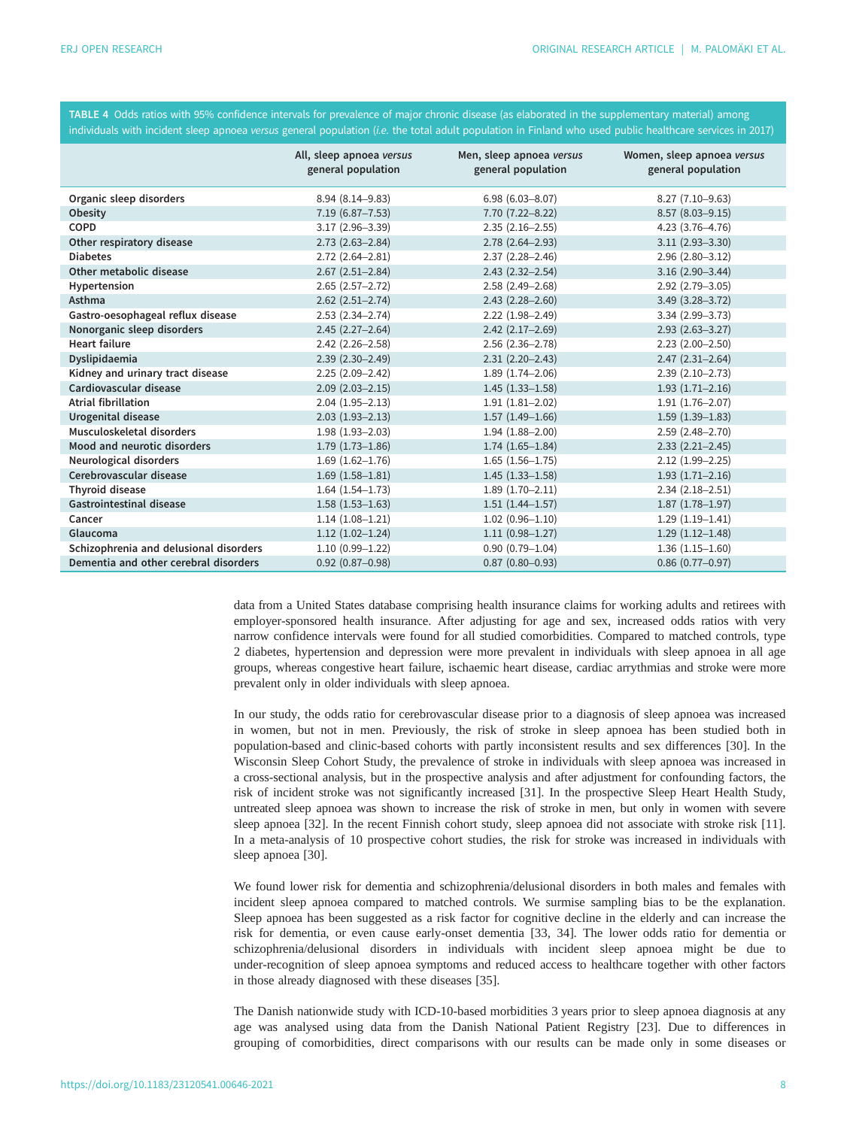<span id="page-7-0"></span>TABLE 4 Odds ratios with 95% confidence intervals for prevalence of major chronic disease (as elaborated in the [supplementary material](http://openres.ersjournals.com/lookup/doi/10.1183/23120541.00646-2021.figures-only#fig-data-supplementary-materials)) among individuals with incident sleep apnoea versus general population (i.e. the total adult population in Finland who used public healthcare services in 2017)

|                                        | All, sleep apnoea versus<br>general population | Men, sleep apnoea versus<br>general population | Women, sleep apnoea versus<br>general population |
|----------------------------------------|------------------------------------------------|------------------------------------------------|--------------------------------------------------|
| Organic sleep disorders                | 8.94 (8.14-9.83)                               | $6.98(6.03 - 8.07)$                            | $8.27(7.10-9.63)$                                |
| Obesity                                | $7.19(6.87 - 7.53)$                            | 7.70 (7.22-8.22)                               | $8.57(8.03 - 9.15)$                              |
| COPD                                   | $3.17(2.96 - 3.39)$                            | $2.35(2.16-2.55)$                              | $4.23$ $(3.76 - 4.76)$                           |
| Other respiratory disease              | $2.73(2.63 - 2.84)$                            | $2.78(2.64 - 2.93)$                            | $3.11(2.93 - 3.30)$                              |
| <b>Diabetes</b>                        | $2.72(2.64 - 2.81)$                            | $2.37(2.28 - 2.46)$                            | $2.96(2.80 - 3.12)$                              |
| Other metabolic disease                | $2.67(2.51 - 2.84)$                            | $2.43$ (2.32-2.54)                             | $3.16(2.90 - 3.44)$                              |
| Hypertension                           | $2.65(2.57 - 2.72)$                            | $2.58(2.49 - 2.68)$                            | $2.92$ $(2.79 - 3.05)$                           |
| Asthma                                 | $2.62$ $(2.51 - 2.74)$                         | $2.43(2.28 - 2.60)$                            | $3.49$ $(3.28 - 3.72)$                           |
| Gastro-oesophageal reflux disease      | $2.53(2.34 - 2.74)$                            | $2.22(1.98 - 2.49)$                            | $3.34(2.99 - 3.73)$                              |
| Nonorganic sleep disorders             | $2.45(2.27 - 2.64)$                            | $2.42$ $(2.17 - 2.69)$                         | $2.93(2.63 - 3.27)$                              |
| <b>Heart failure</b>                   | $2.42$ (2.26-2.58)                             | $2.56$ $(2.36 - 2.78)$                         | $2.23(2.00-2.50)$                                |
| Dyslipidaemia                          | $2.39(2.30 - 2.49)$                            | $2.31(2.20 - 2.43)$                            | $2.47(2.31 - 2.64)$                              |
| Kidney and urinary tract disease       | $2.25(2.09 - 2.42)$                            | $1.89(1.74 - 2.06)$                            | $2.39(2.10-2.73)$                                |
| Cardiovascular disease                 | $2.09$ $(2.03 - 2.15)$                         | $1.45(1.33 - 1.58)$                            | $1.93(1.71 - 2.16)$                              |
| <b>Atrial fibrillation</b>             | $2.04(1.95 - 2.13)$                            | $1.91(1.81 - 2.02)$                            | $1.91(1.76 - 2.07)$                              |
| Urogenital disease                     | $2.03(1.93 - 2.13)$                            | $1.57(1.49-1.66)$                              | $1.59(1.39-1.83)$                                |
| Musculoskeletal disorders              | $1.98(1.93 - 2.03)$                            | $1.94(1.88 - 2.00)$                            | $2.59(2.48 - 2.70)$                              |
| Mood and neurotic disorders            | $1.79(1.73 - 1.86)$                            | $1.74(1.65 - 1.84)$                            | $2.33$ $(2.21 - 2.45)$                           |
| Neurological disorders                 | $1.69(1.62 - 1.76)$                            | $1.65(1.56 - 1.75)$                            | $2.12(1.99 - 2.25)$                              |
| Cerebrovascular disease                | $1.69(1.58 - 1.81)$                            | $1.45(1.33 - 1.58)$                            | $1.93(1.71 - 2.16)$                              |
| <b>Thyroid disease</b>                 | $1.64(1.54 - 1.73)$                            | $1.89(1.70 - 2.11)$                            | $2.34(2.18-2.51)$                                |
| <b>Gastrointestinal disease</b>        | $1.58(1.53 - 1.63)$                            | $1.51(1.44 - 1.57)$                            | $1.87(1.78 - 1.97)$                              |
| Cancer                                 | $1.14(1.08-1.21)$                              | $1.02(0.96 - 1.10)$                            | $1.29(1.19-1.41)$                                |
| Glaucoma                               | $1.12(1.02 - 1.24)$                            | $1.11(0.98 - 1.27)$                            | $1.29(1.12 - 1.48)$                              |
| Schizophrenia and delusional disorders | $1.10(0.99 - 1.22)$                            | $0.90(0.79 - 1.04)$                            | $1.36(1.15-1.60)$                                |
| Dementia and other cerebral disorders  | $0.92$ $(0.87 - 0.98)$                         | $0.87(0.80 - 0.93)$                            | $0.86$ $(0.77 - 0.97)$                           |

data from a United States database comprising health insurance claims for working adults and retirees with employer-sponsored health insurance. After adjusting for age and sex, increased odds ratios with very narrow confidence intervals were found for all studied comorbidities. Compared to matched controls, type 2 diabetes, hypertension and depression were more prevalent in individuals with sleep apnoea in all age groups, whereas congestive heart failure, ischaemic heart disease, cardiac arrythmias and stroke were more prevalent only in older individuals with sleep apnoea.

In our study, the odds ratio for cerebrovascular disease prior to a diagnosis of sleep apnoea was increased in women, but not in men. Previously, the risk of stroke in sleep apnoea has been studied both in population-based and clinic-based cohorts with partly inconsistent results and sex differences [[30\]](#page-10-0). In the Wisconsin Sleep Cohort Study, the prevalence of stroke in individuals with sleep apnoea was increased in a cross-sectional analysis, but in the prospective analysis and after adjustment for confounding factors, the risk of incident stroke was not significantly increased [[31\]](#page-10-0). In the prospective Sleep Heart Health Study, untreated sleep apnoea was shown to increase the risk of stroke in men, but only in women with severe sleep apnoea [\[32](#page-10-0)]. In the recent Finnish cohort study, sleep apnoea did not associate with stroke risk [[11\]](#page-9-0). In a meta-analysis of 10 prospective cohort studies, the risk for stroke was increased in individuals with sleep apnoea [\[30](#page-10-0)].

We found lower risk for dementia and schizophrenia/delusional disorders in both males and females with incident sleep apnoea compared to matched controls. We surmise sampling bias to be the explanation. Sleep apnoea has been suggested as a risk factor for cognitive decline in the elderly and can increase the risk for dementia, or even cause early-onset dementia [\[33](#page-10-0), [34\]](#page-10-0). The lower odds ratio for dementia or schizophrenia/delusional disorders in individuals with incident sleep apnoea might be due to under-recognition of sleep apnoea symptoms and reduced access to healthcare together with other factors in those already diagnosed with these diseases [\[35](#page-10-0)].

The Danish nationwide study with ICD-10-based morbidities 3 years prior to sleep apnoea diagnosis at any age was analysed using data from the Danish National Patient Registry [[23\]](#page-10-0). Due to differences in grouping of comorbidities, direct comparisons with our results can be made only in some diseases or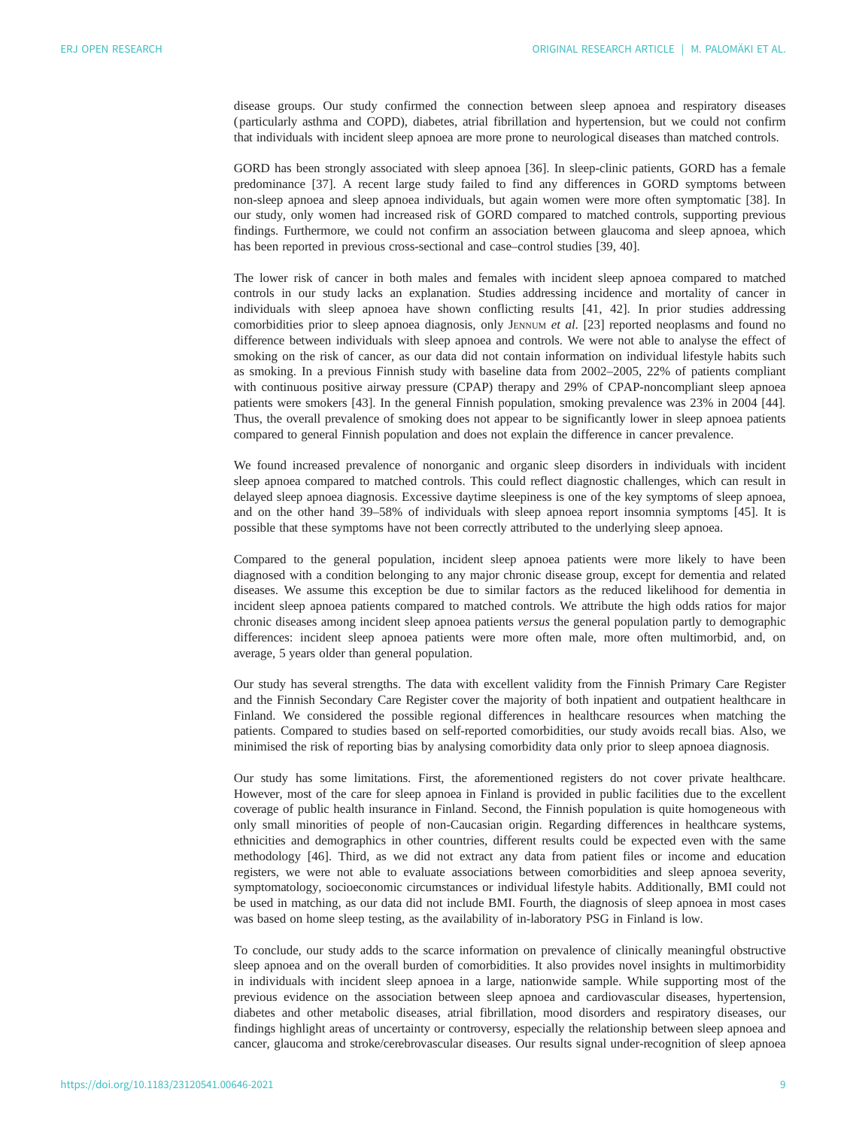disease groups. Our study confirmed the connection between sleep apnoea and respiratory diseases ( particularly asthma and COPD), diabetes, atrial fibrillation and hypertension, but we could not confirm that individuals with incident sleep apnoea are more prone to neurological diseases than matched controls.

GORD has been strongly associated with sleep apnoea [\[36](#page-10-0)]. In sleep-clinic patients, GORD has a female predominance [\[37](#page-10-0)]. A recent large study failed to find any differences in GORD symptoms between non-sleep apnoea and sleep apnoea individuals, but again women were more often symptomatic [[38\]](#page-10-0). In our study, only women had increased risk of GORD compared to matched controls, supporting previous findings. Furthermore, we could not confirm an association between glaucoma and sleep apnoea, which has been reported in previous cross-sectional and case–control studies [\[39](#page-10-0), [40](#page-10-0)].

The lower risk of cancer in both males and females with incident sleep apnoea compared to matched controls in our study lacks an explanation. Studies addressing incidence and mortality of cancer in individuals with sleep apnoea have shown conflicting results [\[41](#page-11-0), [42](#page-11-0)]. In prior studies addressing comorbidities prior to sleep apnoea diagnosis, only JENNUM et al. [\[23](#page-10-0)] reported neoplasms and found no difference between individuals with sleep apnoea and controls. We were not able to analyse the effect of smoking on the risk of cancer, as our data did not contain information on individual lifestyle habits such as smoking. In a previous Finnish study with baseline data from 2002–2005, 22% of patients compliant with continuous positive airway pressure (CPAP) therapy and 29% of CPAP-noncompliant sleep apnoea patients were smokers [\[43](#page-11-0)]. In the general Finnish population, smoking prevalence was 23% in 2004 [[44\]](#page-11-0). Thus, the overall prevalence of smoking does not appear to be significantly lower in sleep apnoea patients compared to general Finnish population and does not explain the difference in cancer prevalence.

We found increased prevalence of nonorganic and organic sleep disorders in individuals with incident sleep apnoea compared to matched controls. This could reflect diagnostic challenges, which can result in delayed sleep apnoea diagnosis. Excessive daytime sleepiness is one of the key symptoms of sleep apnoea, and on the other hand 39–58% of individuals with sleep apnoea report insomnia symptoms [\[45](#page-11-0)]. It is possible that these symptoms have not been correctly attributed to the underlying sleep apnoea.

Compared to the general population, incident sleep apnoea patients were more likely to have been diagnosed with a condition belonging to any major chronic disease group, except for dementia and related diseases. We assume this exception be due to similar factors as the reduced likelihood for dementia in incident sleep apnoea patients compared to matched controls. We attribute the high odds ratios for major chronic diseases among incident sleep apnoea patients versus the general population partly to demographic differences: incident sleep apnoea patients were more often male, more often multimorbid, and, on average, 5 years older than general population.

Our study has several strengths. The data with excellent validity from the Finnish Primary Care Register and the Finnish Secondary Care Register cover the majority of both inpatient and outpatient healthcare in Finland. We considered the possible regional differences in healthcare resources when matching the patients. Compared to studies based on self-reported comorbidities, our study avoids recall bias. Also, we minimised the risk of reporting bias by analysing comorbidity data only prior to sleep apnoea diagnosis.

Our study has some limitations. First, the aforementioned registers do not cover private healthcare. However, most of the care for sleep apnoea in Finland is provided in public facilities due to the excellent coverage of public health insurance in Finland. Second, the Finnish population is quite homogeneous with only small minorities of people of non-Caucasian origin. Regarding differences in healthcare systems, ethnicities and demographics in other countries, different results could be expected even with the same methodology [\[46](#page-11-0)]. Third, as we did not extract any data from patient files or income and education registers, we were not able to evaluate associations between comorbidities and sleep apnoea severity, symptomatology, socioeconomic circumstances or individual lifestyle habits. Additionally, BMI could not be used in matching, as our data did not include BMI. Fourth, the diagnosis of sleep apnoea in most cases was based on home sleep testing, as the availability of in-laboratory PSG in Finland is low.

To conclude, our study adds to the scarce information on prevalence of clinically meaningful obstructive sleep apnoea and on the overall burden of comorbidities. It also provides novel insights in multimorbidity in individuals with incident sleep apnoea in a large, nationwide sample. While supporting most of the previous evidence on the association between sleep apnoea and cardiovascular diseases, hypertension, diabetes and other metabolic diseases, atrial fibrillation, mood disorders and respiratory diseases, our findings highlight areas of uncertainty or controversy, especially the relationship between sleep apnoea and cancer, glaucoma and stroke/cerebrovascular diseases. Our results signal under-recognition of sleep apnoea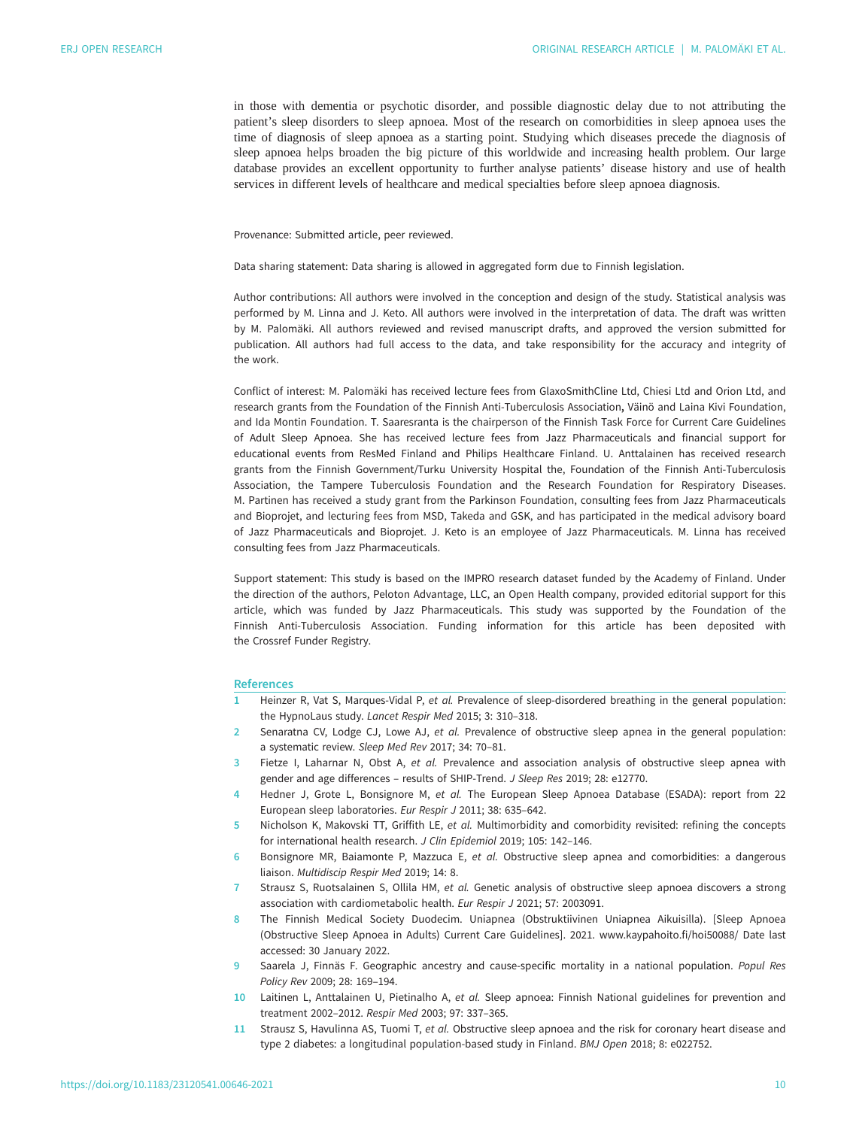<span id="page-9-0"></span>in those with dementia or psychotic disorder, and possible diagnostic delay due to not attributing the patient's sleep disorders to sleep apnoea. Most of the research on comorbidities in sleep apnoea uses the time of diagnosis of sleep apnoea as a starting point. Studying which diseases precede the diagnosis of sleep apnoea helps broaden the big picture of this worldwide and increasing health problem. Our large database provides an excellent opportunity to further analyse patients' disease history and use of health services in different levels of healthcare and medical specialties before sleep apnoea diagnosis.

Provenance: Submitted article, peer reviewed.

Data sharing statement: Data sharing is allowed in aggregated form due to Finnish legislation.

Author contributions: All authors were involved in the conception and design of the study. Statistical analysis was performed by M. Linna and J. Keto. All authors were involved in the interpretation of data. The draft was written by M. Palomäki. All authors reviewed and revised manuscript drafts, and approved the version submitted for publication. All authors had full access to the data, and take responsibility for the accuracy and integrity of the work.

Conflict of interest: M. Palomäki has received lecture fees from GlaxoSmithCline Ltd, Chiesi Ltd and Orion Ltd, and research grants from the Foundation of the Finnish Anti-Tuberculosis Association, Väinö and Laina Kivi Foundation, and Ida Montin Foundation. T. Saaresranta is the chairperson of the Finnish Task Force for Current Care Guidelines of Adult Sleep Apnoea. She has received lecture fees from Jazz Pharmaceuticals and financial support for educational events from ResMed Finland and Philips Healthcare Finland. U. Anttalainen has received research grants from the Finnish Government/Turku University Hospital the, Foundation of the Finnish Anti-Tuberculosis Association, the Tampere Tuberculosis Foundation and the Research Foundation for Respiratory Diseases. M. Partinen has received a study grant from the Parkinson Foundation, consulting fees from Jazz Pharmaceuticals and Bioprojet, and lecturing fees from MSD, Takeda and GSK, and has participated in the medical advisory board of Jazz Pharmaceuticals and Bioprojet. J. Keto is an employee of Jazz Pharmaceuticals. M. Linna has received consulting fees from Jazz Pharmaceuticals.

Support statement: This study is based on the IMPRO research dataset funded by the Academy of Finland. Under the direction of the authors, Peloton Advantage, LLC, an Open Health company, provided editorial support for this article, which was funded by Jazz Pharmaceuticals. This study was supported by the Foundation of the Finnish Anti-Tuberculosis Association. Funding information for this article has been deposited with the [Crossref Funder Registry](https://www.crossref.org/services/funder-registry/).

#### **References**

- 1 Heinzer R, Vat S, Marques-Vidal P, et al. Prevalence of sleep-disordered breathing in the general population: the HypnoLaus study. Lancet Respir Med 2015; 3: 310–318.
- 2 Senaratna CV, Lodge CJ, Lowe AJ, et al. Prevalence of obstructive sleep apnea in the general population: a systematic review. Sleep Med Rev 2017; 34: 70–81.
- 3 Fietze I, Laharnar N, Obst A, et al. Prevalence and association analysis of obstructive sleep apnea with gender and age differences – results of SHIP-Trend. J Sleep Res 2019; 28: e12770.
- 4 Hedner J, Grote L, Bonsignore M, et al. The European Sleep Apnoea Database (ESADA): report from 22 European sleep laboratories. Eur Respir J 2011; 38: 635–642.
- 5 Nicholson K, Makovski TT, Griffith LE, et al. Multimorbidity and comorbidity revisited: refining the concepts for international health research. J Clin Epidemiol 2019; 105: 142–146.
- 6 Bonsignore MR, Baiamonte P, Mazzuca E, et al. Obstructive sleep apnea and comorbidities: a dangerous liaison. Multidiscip Respir Med 2019; 14: 8.
- 7 Strausz S, Ruotsalainen S, Ollila HM, et al. Genetic analysis of obstructive sleep apnoea discovers a strong association with cardiometabolic health. Eur Respir J 2021; 57: 2003091.
- 8 The Finnish Medical Society Duodecim. Uniapnea (Obstruktiivinen Uniapnea Aikuisilla). [Sleep Apnoea (Obstructive Sleep Apnoea in Adults) Current Care Guidelines]. 2021. [www.kaypahoito.fi/hoi50088/](http://www.kaypahoito.fi/hoi50088/) Date last accessed: 30 January 2022.
- 9 Saarela J, Finnäs F. Geographic ancestry and cause-specific mortality in a national population. Popul Res Policy Rev 2009; 28: 169–194.
- 10 Laitinen L, Anttalainen U, Pietinalho A, et al. Sleep apnoea: Finnish National guidelines for prevention and treatment 2002–2012. Respir Med 2003; 97: 337–365.
- 11 Strausz S, Havulinna AS, Tuomi T, et al. Obstructive sleep apnoea and the risk for coronary heart disease and type 2 diabetes: a longitudinal population-based study in Finland. BMJ Open 2018; 8: e022752.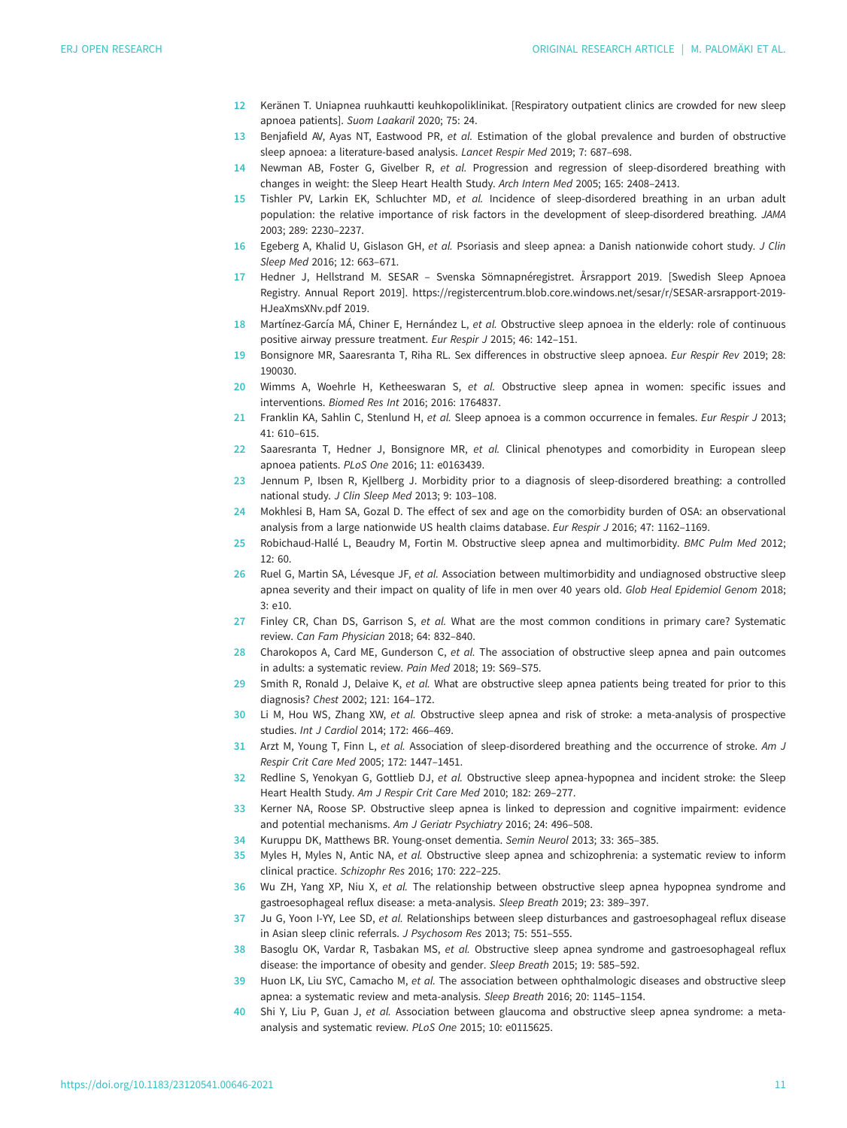- <span id="page-10-0"></span>12 Keränen T. Uniapnea ruuhkautti keuhkopoliklinikat. [Respiratory outpatient clinics are crowded for new sleep apnoea patients]. Suom Laakaril 2020; 75: 24.
- 13 Benjafield AV, Ayas NT, Eastwood PR, et al. Estimation of the global prevalence and burden of obstructive sleep apnoea: a literature-based analysis. Lancet Respir Med 2019; 7: 687–698.
- 14 Newman AB, Foster G, Givelber R, et al. Progression and regression of sleep-disordered breathing with changes in weight: the Sleep Heart Health Study. Arch Intern Med 2005; 165: 2408–2413.
- 15 Tishler PV, Larkin EK, Schluchter MD, et al. Incidence of sleep-disordered breathing in an urban adult population: the relative importance of risk factors in the development of sleep-disordered breathing. JAMA 2003; 289: 2230–2237.
- 16 Egeberg A, Khalid U, Gislason GH, et al. Psoriasis and sleep apnea: a Danish nationwide cohort study. J Clin Sleep Med 2016; 12: 663–671.
- 17 Hedner J, Hellstrand M. SESAR Svenska Sömnapnéregistret. Årsrapport 2019. [Swedish Sleep Apnoea Registry. Annual Report 2019]. https://registercentrum.blob.core.windows.net/sesar/r/SESAR-arsrapport-2019- HJeaXmsXNv.pdf 2019.
- 18 Martínez-García MÁ, Chiner E, Hernández L, et al. Obstructive sleep apnoea in the elderly: role of continuous positive airway pressure treatment. Eur Respir J 2015; 46: 142–151.
- 19 Bonsignore MR, Saaresranta T, Riha RL. Sex differences in obstructive sleep apnoea. Eur Respir Rev 2019; 28: 190030.
- 20 Wimms A, Woehrle H, Ketheeswaran S, et al. Obstructive sleep apnea in women: specific issues and interventions. Biomed Res Int 2016; 2016: 1764837.
- 21 Franklin KA, Sahlin C, Stenlund H, et al. Sleep apnoea is a common occurrence in females. Eur Respir J 2013; 41: 610–615.
- 22 Saaresranta T, Hedner J, Bonsignore MR, et al. Clinical phenotypes and comorbidity in European sleep apnoea patients. PLoS One 2016; 11: e0163439.
- 23 Jennum P, Ibsen R, Kjellberg J. Morbidity prior to a diagnosis of sleep-disordered breathing: a controlled national study. J Clin Sleep Med 2013; 9: 103–108.
- 24 Mokhlesi B, Ham SA, Gozal D. The effect of sex and age on the comorbidity burden of OSA: an observational analysis from a large nationwide US health claims database. Eur Respir J 2016; 47: 1162-1169.
- 25 Robichaud-Hallé L, Beaudry M, Fortin M. Obstructive sleep apnea and multimorbidity. BMC Pulm Med 2012;  $12.60$
- 26 Ruel G, Martin SA, Lévesque JF, et al. Association between multimorbidity and undiagnosed obstructive sleep apnea severity and their impact on quality of life in men over 40 years old. Glob Heal Epidemiol Genom 2018;  $3.910$
- 27 Finley CR, Chan DS, Garrison S, et al. What are the most common conditions in primary care? Systematic review. Can Fam Physician 2018; 64: 832–840.
- 28 Charokopos A, Card ME, Gunderson C, et al. The association of obstructive sleep apnea and pain outcomes in adults: a systematic review. Pain Med 2018; 19: S69–S75.
- 29 Smith R, Ronald J, Delaive K, et al. What are obstructive sleep apnea patients being treated for prior to this diagnosis? Chest 2002; 121: 164–172.
- 30 Li M, Hou WS, Zhang XW, et al. Obstructive sleep apnea and risk of stroke: a meta-analysis of prospective studies. Int J Cardiol 2014; 172: 466–469.
- 31 Arzt M, Young T, Finn L, et al. Association of sleep-disordered breathing and the occurrence of stroke. Am J Respir Crit Care Med 2005; 172: 1447–1451.
- 32 Redline S, Yenokyan G, Gottlieb DJ, et al. Obstructive sleep apnea-hypopnea and incident stroke: the Sleep Heart Health Study. Am J Respir Crit Care Med 2010; 182: 269–277.
- 33 Kerner NA, Roose SP. Obstructive sleep apnea is linked to depression and cognitive impairment: evidence and potential mechanisms. Am J Geriatr Psychiatry 2016; 24: 496–508.
- 34 Kuruppu DK, Matthews BR. Young-onset dementia. Semin Neurol 2013; 33: 365–385.
- 35 Myles H, Myles N, Antic NA, et al. Obstructive sleep apnea and schizophrenia: a systematic review to inform clinical practice. Schizophr Res 2016; 170: 222–225.
- 36 Wu ZH, Yang XP, Niu X, et al. The relationship between obstructive sleep apnea hypopnea syndrome and gastroesophageal reflux disease: a meta-analysis. Sleep Breath 2019; 23: 389–397.
- 37 Ju G, Yoon I-YY, Lee SD, et al. Relationships between sleep disturbances and gastroesophageal reflux disease in Asian sleep clinic referrals. J Psychosom Res 2013; 75: 551–555.
- 38 Basoglu OK, Vardar R, Tasbakan MS, et al. Obstructive sleep apnea syndrome and gastroesophageal reflux disease: the importance of obesity and gender. Sleep Breath 2015; 19: 585–592.
- 39 Huon LK, Liu SYC, Camacho M, et al. The association between ophthalmologic diseases and obstructive sleep apnea: a systematic review and meta-analysis. Sleep Breath 2016; 20: 1145–1154.
- 40 Shi Y, Liu P, Guan J, et al. Association between glaucoma and obstructive sleep apnea syndrome: a metaanalysis and systematic review. PLoS One 2015; 10: e0115625.